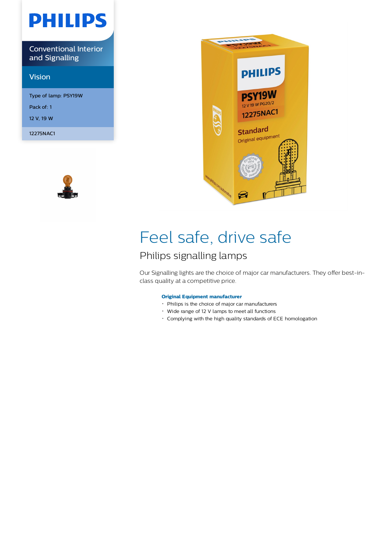# **PHILIPS**

Conventional Interior and Signalling

## Vision

Type of lamp: PSY19W Pack of: 1 12 V, 19 W

12275NAC1





# Feel safe, drive safe

# Philips signalling lamps

Our Signalling lights are the choice of major car manufacturers. They offer best-inclass quality at a competitive price.

### **Original Equipment manufacturer**

- Philips is the choice of major car manufacturers
- Wide range of 12 V lamps to meet all functions
- Complying with the high quality standards of ECE homologation